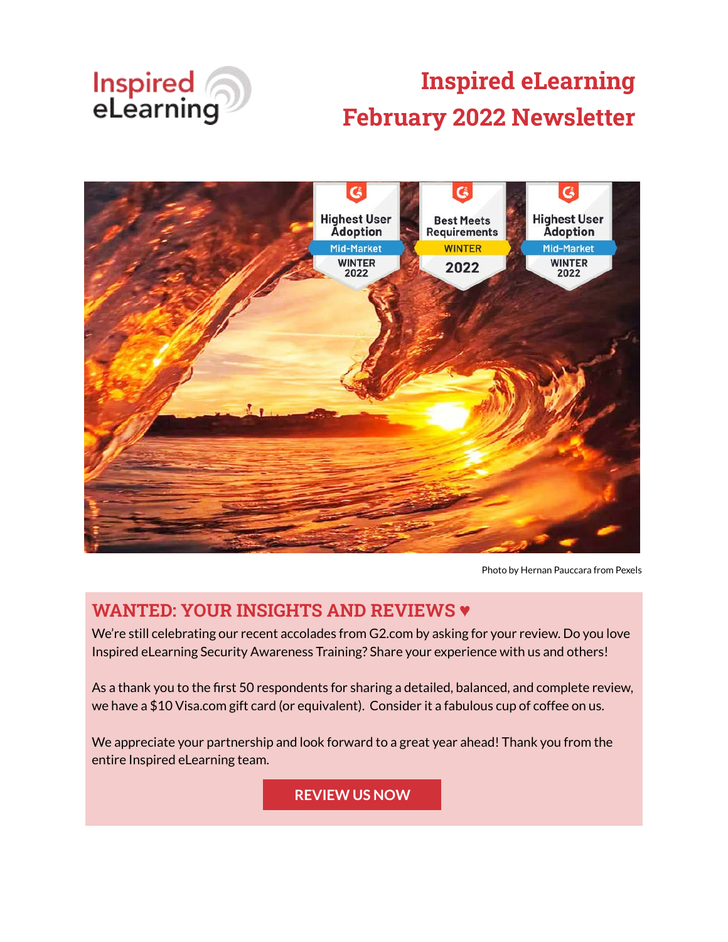

# **Inspired eLearning February 2022 Newsletter**



Photo by Hernan Pauccara from Pexels

#### **WANTED: YOUR INSIGHTS AND REVIEWS ♥**

We're still celebrating our recent accolades from G2.com by asking for your review. Do you love Inspired eLearning Security Awareness Training? Share your experience with us and others!

As a thank you to the first 50 respondents for sharing a detailed, balanced, and complete review, we have a \$10 Visa.com gift card (or equivalent). Consider it a fabulous cup of coffee on us.

We appreciate your partnership and look forward to a great year ahead! Thank you from the entire Inspired eLearning team.

**[REVIEW US NOW](https://www.g2.com/contributor/inspired-elearning-2022-2?secure%5Bpage_id%5D=inspired-elearning-2022-2&secure%5Brewards%5D=true&secure%5Btoken%5D=2a06b99e5f5207b3788b6e335279c2f89df3897ef6e7b30359b6539fe3ca2cf0)**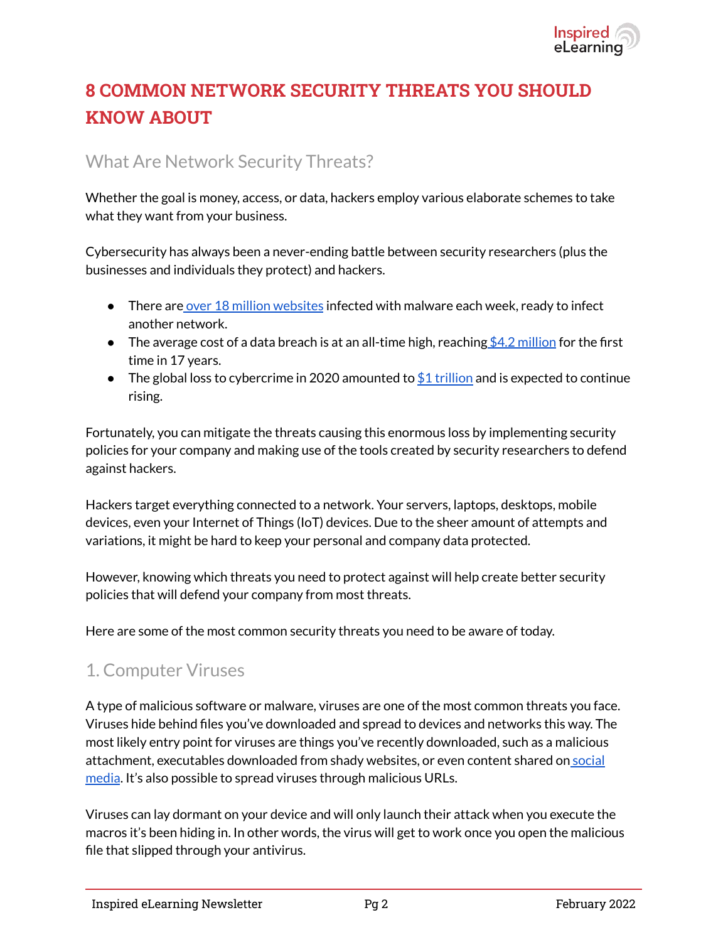

# **8 COMMON NETWORK SECURITY THREATS YOU SHOULD KNOW ABOUT**

#### What Are Network Security Threats?

Whether the goal is money, access, or data, hackers employ various elaborate schemes to take what they want from your business.

Cybersecurity has always been a never-ending battle between security researchers (plus the businesses and individuals they protect) and hackers.

- $\bullet$  There are [over 18 million websites](https://purplesec.us/resources/cyber-security-statistics/) infected with malware each week, ready to infect another network.
- **•** The average cost of a data breach is at an all-time high, reaching  $$4.2$  million for the first time in 17 years.
- The global loss to cybercrime in 2020 amounted to  $$1$  trillion and is expected to continue rising.

Fortunately, you can mitigate the threats causing this enormous loss by implementing security policies for your company and making use of the tools created by security researchers to defend against hackers.

Hackers target everything connected to a network. Your servers, laptops, desktops, mobile devices, even your Internet of Things (IoT) devices. Due to the sheer amount of attempts and variations, it might be hard to keep your personal and company data protected.

However, knowing which threats you need to protect against will help create better security policies that will defend your company from most threats.

Here are some of the most common security threats you need to be aware of today.

#### 1. Computer Viruses

A type of malicious software or malware, viruses are one of the most common threats you face. Viruses hide behind files you've downloaded and spread to devices and networks this way. The most likely entry point for viruses are things you've recently downloaded, such as a malicious attachment, executables downloaded from shady websites, or even content shared on [social](https://inspiredelearning.com/resource/social-media-phishing-ppt/) [media](https://inspiredelearning.com/resource/social-media-phishing-ppt/). It's also possible to spread viruses through malicious URLs.

Viruses can lay dormant on your device and will only launch their attack when you execute the macros it's been hiding in. In other words, the virus will get to work once you open the malicious file that slipped through your antivirus.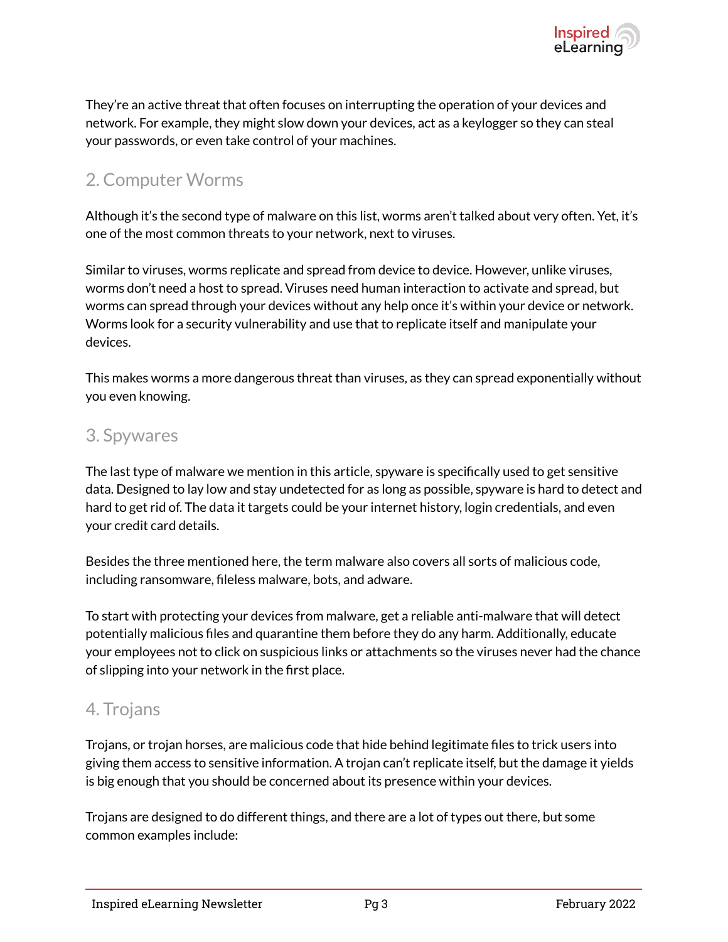

They're an active threat that often focuses on interrupting the operation of your devices and network. For example, they might slow down your devices, act as a keylogger so they can steal your passwords, or even take control of your machines.

### 2. Computer Worms

Although it's the second type of malware on this list, worms aren't talked about very often. Yet, it's one of the most common threats to your network, next to viruses.

Similar to viruses, worms replicate and spread from device to device. However, unlike viruses, worms don't need a host to spread. Viruses need human interaction to activate and spread, but worms can spread through your devices without any help once it's within your device or network. Worms look for a security vulnerability and use that to replicate itself and manipulate your devices.

This makes worms a more dangerous threat than viruses, as they can spread exponentially without you even knowing.

#### 3. Spywares

The last type of malware we mention in this article, spyware is specifically used to get sensitive data. Designed to lay low and stay undetected for as long as possible, spyware is hard to detect and hard to get rid of. The data it targets could be your internet history, login credentials, and even your credit card details.

Besides the three mentioned here, the term malware also covers all sorts of malicious code, including ransomware, fileless malware, bots, and adware.

To start with protecting your devices from malware, get a reliable anti-malware that will detect potentially malicious files and quarantine them before they do any harm. Additionally, educate your employees not to click on suspicious links or attachments so the viruses never had the chance of slipping into your network in the first place.

#### 4. Trojans

Trojans, or trojan horses, are malicious code that hide behind legitimate files to trick users into giving them access to sensitive information. A trojan can't replicate itself, but the damage it yields is big enough that you should be concerned about its presence within your devices.

Trojans are designed to do different things, and there are a lot of types out there, but some common examples include: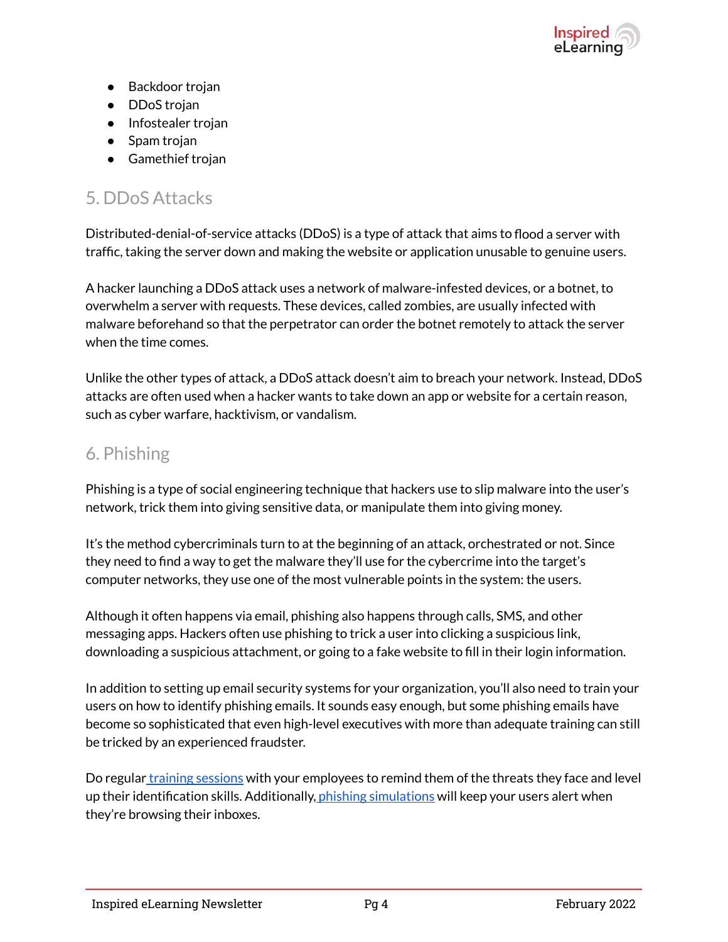

- Backdoor trojan
- **DDoS** trojan
- Infostealer trojan
- Spam trojan
- Gamethief trojan

## 5. DDoS Attacks

Distributed-denial-of-service attacks (DDoS) is a type of attack that aims to flood a server with traffic, taking the server down and making the website or application unusable to genuine users.

A hacker launching a DDoS attack uses a network of malware-infested devices, or a botnet, to overwhelm a server with requests. These devices, called zombies, are usually infected with malware beforehand so that the perpetrator can order the botnet remotely to attack the server when the time comes.

Unlike the other types of attack, a DDoS attack doesn't aim to breach your network. Instead, DDoS attacks are often used when a hacker wants to take down an app or website for a certain reason, such as cyber warfare, hacktivism, or vandalism.

#### 6. Phishing

Phishing is a type of social engineering technique that hackers use to slip malware into the user's network, trick them into giving sensitive data, or manipulate them into giving money.

It's the method cybercriminals turn to at the beginning of an attack, orchestrated or not. Since they need to find a way to get the malware they'll use for the cybercrime into the target's computer networks, they use one of the most vulnerable points in the system: the users.

Although it often happens via email, phishing also happens through calls, SMS, and other messaging apps. Hackers often use phishing to trick a user into clicking a suspicious link, downloading a suspicious attachment, or going to a fake website to fill in their login information.

In addition to setting up email security systems for your organization, you'll also need to train your users on how to identify phishing emails. It sounds easy enough, but some phishing emails have become so sophisticated that even high-level executives with more than adequate training can still be tricked by an experienced fraudster.

Do regular [training sessions](https://inspiredelearning.com/courses/phishing/) with your employees to remind them of the threats they face and level up their identification skills. Additionally, *[phishing simulations](https://inspiredelearning.com/security-awareness/phishproof/)* will keep your users alert when they're browsing their inboxes.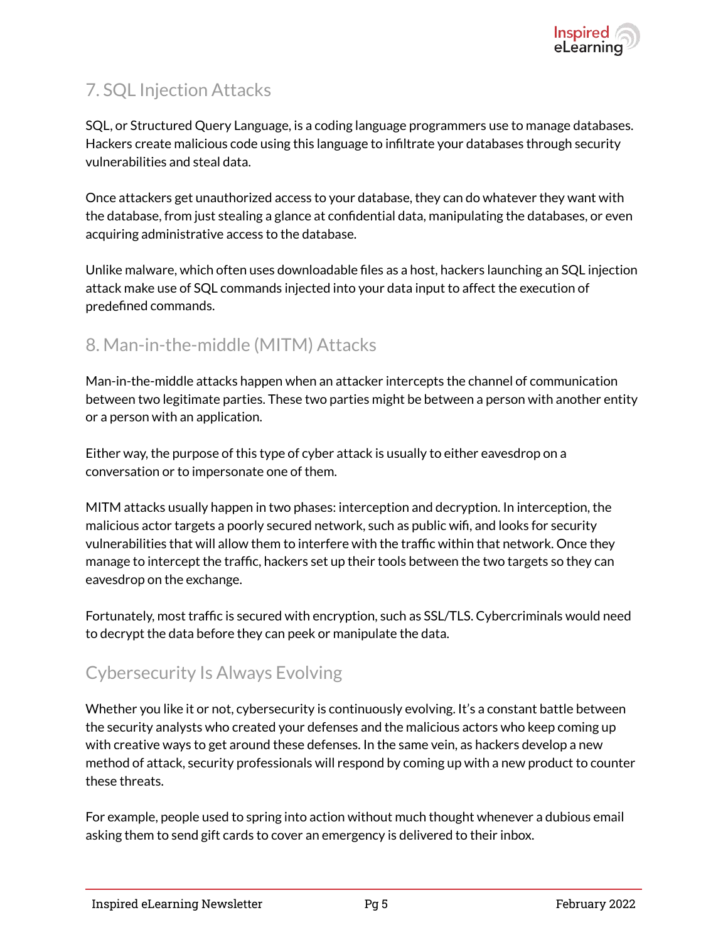# 7. SQL Injection Attacks

SQL, or Structured Query Language, is a coding language programmers use to manage databases. Hackers create malicious code using this language to infiltrate your databases through security vulnerabilities and steal data.

Once attackers get unauthorized access to your database, they can do whatever they want with the database, from just stealing a glance at confidential data, manipulating the databases, or even acquiring administrative access to the database.

Unlike malware, which often uses downloadable files as a host, hackers launching an SQL injection attack make use of SQL commands injected into your data input to affect the execution of predefined commands.

## 8. Man-in-the-middle (MITM) Attacks

Man-in-the-middle attacks happen when an attacker intercepts the channel of communication between two legitimate parties. These two parties might be between a person with another entity or a person with an application.

Either way, the purpose of this type of cyber attack is usually to either eavesdrop on a conversation or to impersonate one of them.

MITM attacks usually happen in two phases: interception and decryption. In interception, the malicious actor targets a poorly secured network, such as public wifi, and looks for security vulnerabilities that will allow them to interfere with the traffic within that network. Once they manage to intercept the traffic, hackers set up their tools between the two targets so they can eavesdrop on the exchange.

Fortunately, most traffic is secured with encryption, such as SSL/TLS. Cybercriminals would need to decrypt the data before they can peek or manipulate the data.

## Cybersecurity Is Always Evolving

Whether you like it or not, cybersecurity is continuously evolving. It's a constant battle between the security analysts who created your defenses and the malicious actors who keep coming up with creative ways to get around these defenses. In the same vein, as hackers develop a new method of attack, security professionals will respond by coming up with a new product to counter these threats.

For example, people used to spring into action without much thought whenever a dubious email asking them to send gift cards to cover an emergency is delivered to their inbox.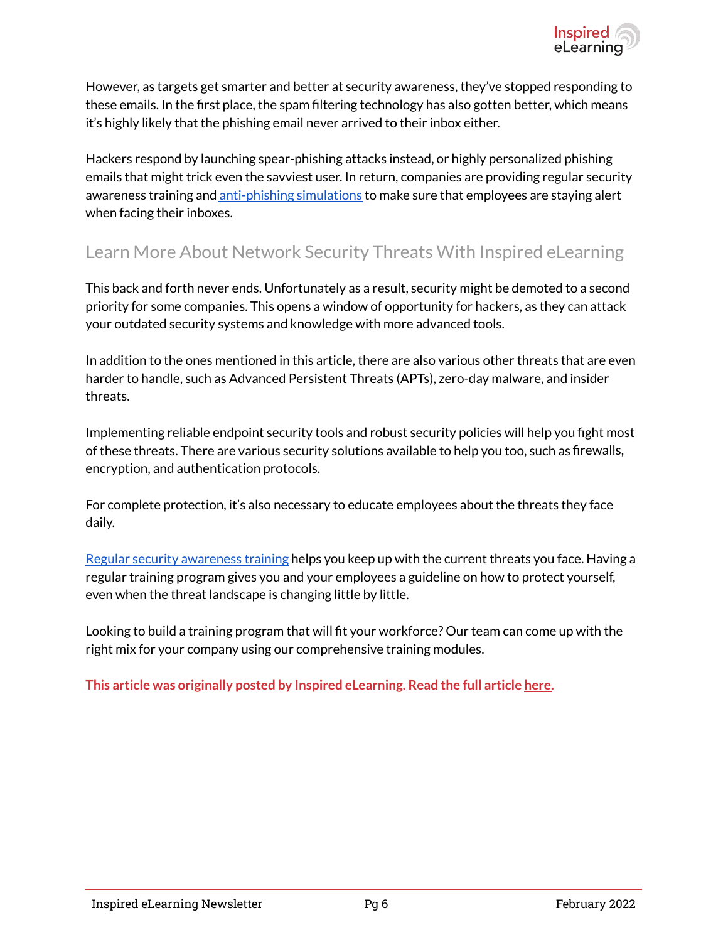

However, as targets get smarter and better at security awareness, they've stopped responding to these emails. In the first place, the spam filtering technology has also gotten better, which means it's highly likely that the phishing email never arrived to their inbox either.

Hackers respond by launching spear-phishing attacks instead, or highly personalized phishing emails that might trick even the savviest user. In return, companies are providing regular security awareness training and [anti-phishing simulations](https://inspiredelearning.com/security-awareness/phishproof/) to make sure that employees are staying alert when facing their inboxes.

#### Learn More About Network Security Threats With Inspired eLearning

This back and forth never ends. Unfortunately as a result, security might be demoted to a second priority for some companies. This opens a window of opportunity for hackers, as they can attack your outdated security systems and knowledge with more advanced tools.

In addition to the ones mentioned in this article, there are also various other threats that are even harder to handle, such as Advanced Persistent Threats (APTs), zero-day malware, and insider threats.

Implementing reliable endpoint security tools and robust security policies will help you fight most of these threats. There are various security solutions available to help you too, such as firewalls, encryption, and authentication protocols.

For complete protection, it's also necessary to educate employees about the threats they face daily.

[Regular security awareness training](https://inspiredelearning.com/security-awareness/) helps you keep up with the current threats you face. Having a regular training program gives you and your employees a guideline on how to protect yourself, even when the threat landscape is changing little by little.

Looking to build a training program that will fit your workforce? Our team can come up with the right mix for your company using our comprehensive training modules.

**This article was originally posted by Inspired eLearning. Read the full article [here.](https://inspiredelearning.com/blog/8-common-network-security-threats-you-should-know-about/)**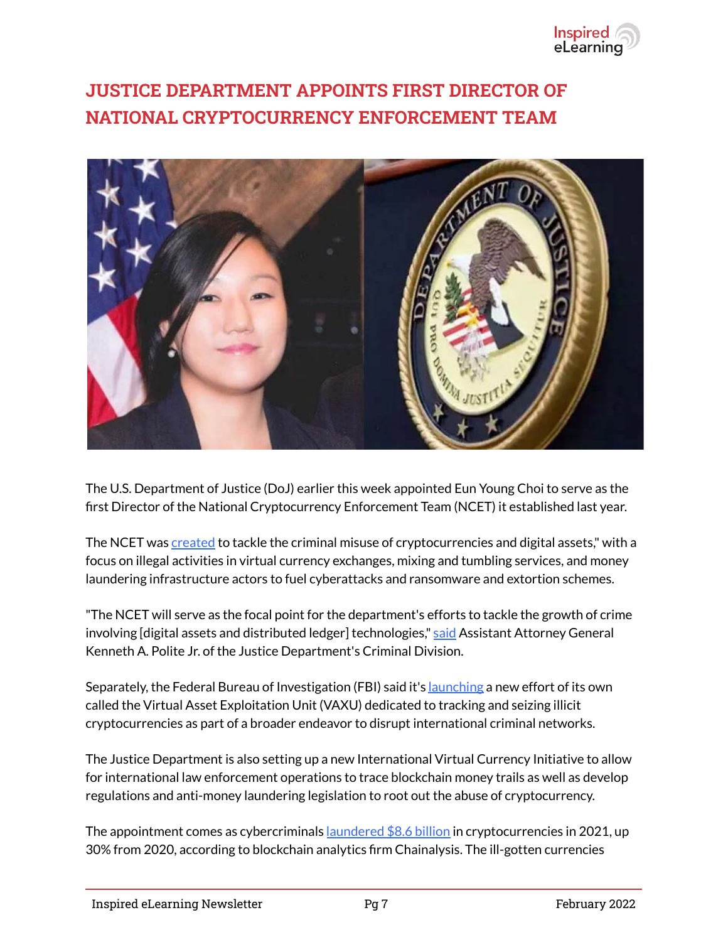

# **JUSTICE DEPARTMENT APPOINTS FIRST DIRECTOR OF NATIONAL CRYPTOCURRENCY ENFORCEMENT TEAM**



The U.S. Department of Justice (DoJ) earlier this week appointed Eun Young Choi to serve as the first Director of the National Cryptocurrency Enforcement Team (NCET) it established last year.

The NCET was [created](https://thehackernews.com/2021/10/us-justice-dept-launches-civil-cyber.html) to tackle the criminal misuse of cryptocurrencies and digital assets," with a focus on illegal activities in virtual currency exchanges, mixing and tumbling services, and money laundering infrastructure actors to fuel cyberattacks and ransomware and extortion schemes.

"The NCET will serve as the focal point for the department's efforts to tackle the growth of crime involving [digital assets and distributed ledger] technologies," [said](https://www.justice.gov/opa/pr/justice-department-announces-first-director-national-cryptocurrency-enforcement-team) Assistant Attorney General Kenneth A. Polite Jr. of the Justice Department's Criminal Division.

Separately, the Federal Bureau of Investigation (FBI) said it's [launching](https://www.youtube.com/watch?v=4FCa_XXykI0) a new effort of its own called the Virtual Asset Exploitation Unit (VAXU) dedicated to tracking and seizing illicit cryptocurrencies as part of a broader endeavor to disrupt international criminal networks.

The Justice Department is also setting up a new International Virtual Currency Initiative to allow for international law enforcement operations to trace blockchain money trails as well as develop regulations and anti-money laundering legislation to root out the abuse of cryptocurrency.

The appointment comes as cybercriminals <u>[laundered \\$8.6 billion](https://blog.chainalysis.com/reports/2022-crypto-crime-report-preview-cryptocurrency-money-laundering/)</u> in cryptocurrencies in 2021, up 30% from 2020, according to blockchain analytics firm Chainalysis. The ill-gotten currencies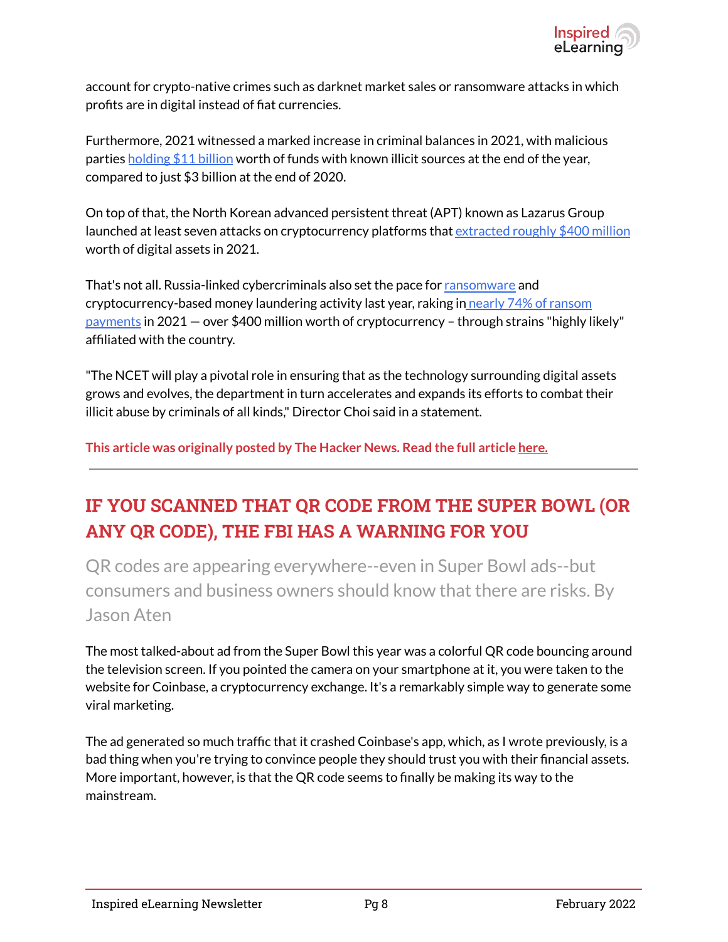

account for crypto-native crimes such as darknet market sales or ransomware attacks in which profits are in digital instead of fiat currencies.

Furthermore, 2021 witnessed a marked increase in criminal balances in 2021, with malicious parties [holding \\$11 billion](https://blog.chainalysis.com/reports/2022-crypto-crime-report-preview-criminal-balances-criminal-whales/) worth of funds with known illicit sources at the end of the year, compared to just \$3 billion at the end of 2020.

On top of that, the North Korean advanced persistent threat (APT) known as Lazarus Group launched at least seven attacks on cryptocurrency platforms that [extracted roughly \\$400 million](https://thehackernews.com/2022/01/north-korean-hackers-stole-millions.html) worth of digital assets in 2021.

That's not all. Russia-linked cybercriminals also set the pace for [ransomware](https://blog.chainalysis.com/reports/2022-crypto-crime-report-preview-ransomware/) and cryptocurrency-based money laundering activity last year, raking in [nearly 74% of ransom](https://blog.chainalysis.com/reports/2022-crypto-crime-report-preview-russia-ransomware-money-laundering/) [payments](https://blog.chainalysis.com/reports/2022-crypto-crime-report-preview-russia-ransomware-money-laundering/) in 2021 — over \$400 million worth of cryptocurrency – through strains "highly likely" affiliated with the country.

"The NCET will play a pivotal role in ensuring that as the technology surrounding digital assets grows and evolves, the department in turn accelerates and expands its efforts to combat their illicit abuse by criminals of all kinds," Director Choi said in a statement.

**This article was originally posted by The Hacker News. Read the full article [here.](https://thehackernews.com/2022/02/justice-department-appoints-first.html)**

# **IF YOU SCANNED THAT QR CODE FROM THE SUPER BOWL (OR ANY QR CODE), THE FBI HAS A WARNING FOR YOU**

QR codes are appearing everywhere--even in Super Bowl ads--but consumers and business owners should know that there are risks. By Jason Aten

The most talked-about ad from the Super Bowl this year was a colorful QR code bouncing around the television screen. If you pointed the camera on your smartphone at it, you were taken to the website for Coinbase, a cryptocurrency exchange. It's a remarkably simple way to generate some viral marketing.

The ad generated so much traffic that it crashed Coinbase's app, which, as I wrote previously, is a bad thing when you're trying to convince people they should trust you with their financial assets. More important, however, is that the QR code seems to finally be making its way to the mainstream.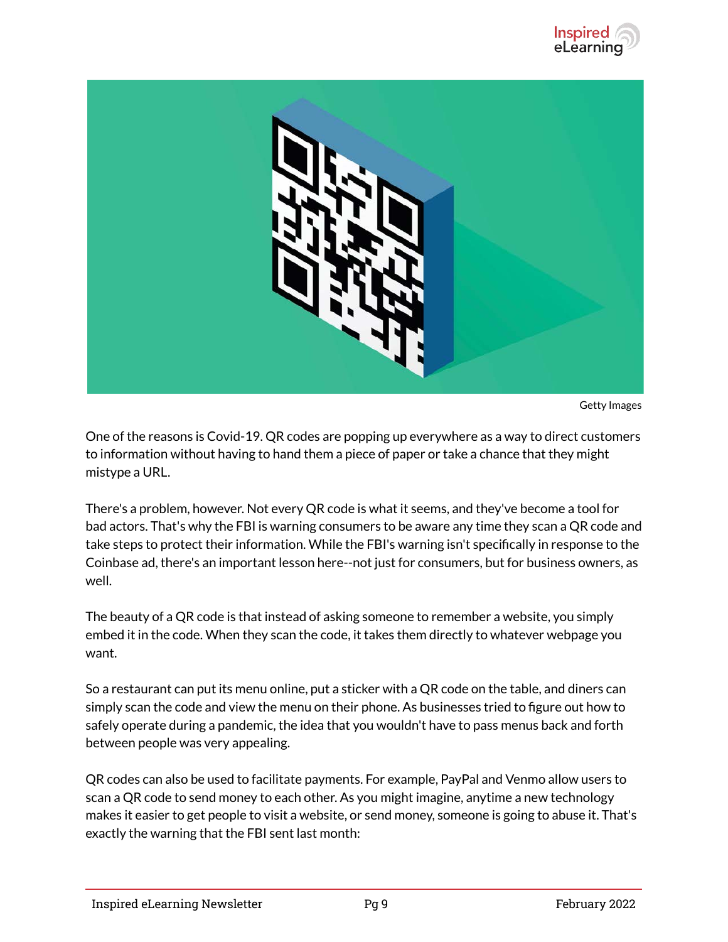



Getty Images

One of the reasons is Covid-19. QR codes are popping up everywhere as a way to direct customers to information without having to hand them a piece of paper or take a chance that they might mistype a URL.

There's a problem, however. Not every QR code is what it seems, and they've become a tool for bad actors. That's why the FBI is warning consumers to be aware any time they scan a QR code and take steps to protect their information. While the FBI's warning isn't specifically in response to the Coinbase ad, there's an important lesson here--not just for consumers, but for business owners, as well.

The beauty of a QR code is that instead of asking someone to remember a website, you simply embed it in the code. When they scan the code, it takes them directly to whatever webpage you want.

So a restaurant can put its menu online, put a sticker with a QR code on the table, and diners can simply scan the code and view the menu on their phone. As businesses tried to figure out how to safely operate during a pandemic, the idea that you wouldn't have to pass menus back and forth between people was very appealing.

QR codes can also be used to facilitate payments. For example, PayPal and Venmo allow users to scan a QR code to send money to each other. As you might imagine, anytime a new technology makes it easier to get people to visit a website, or send money, someone is going to abuse it. That's exactly the warning that the FBI sent last month: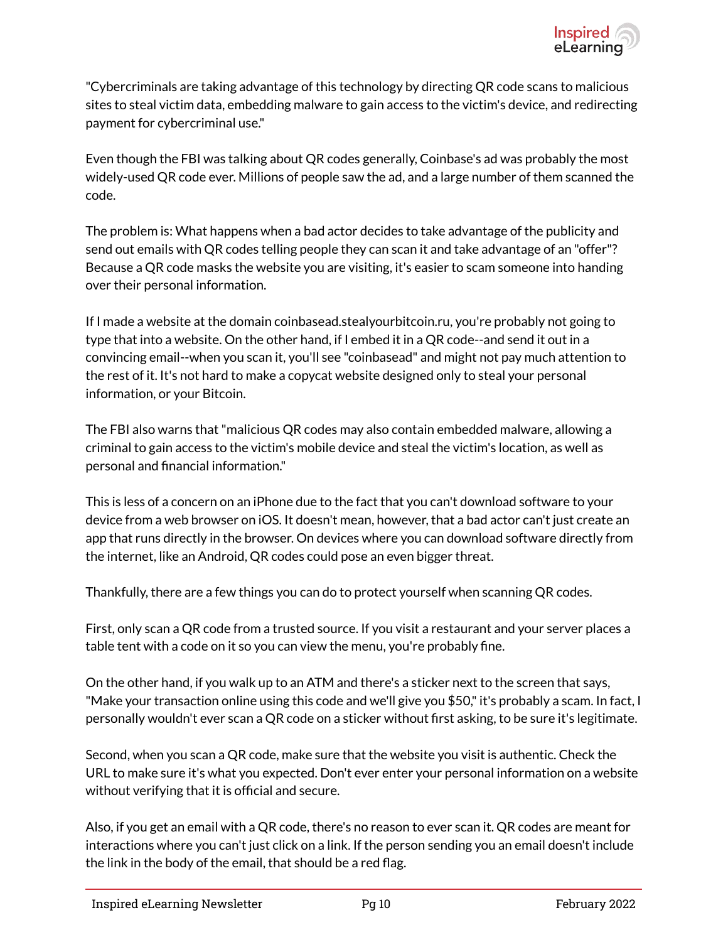

"Cybercriminals are taking advantage of this technology by directing QR code scans to malicious sites to steal victim data, embedding malware to gain access to the victim's device, and redirecting payment for cybercriminal use."

Even though the FBI was talking about QR codes generally, Coinbase's ad was probably the most widely-used QR code ever. Millions of people saw the ad, and a large number of them scanned the code.

The problem is: What happens when a bad actor decides to take advantage of the publicity and send out emails with QR codes telling people they can scan it and take advantage of an "offer"? Because a QR code masks the website you are visiting, it's easier to scam someone into handing over their personal information.

If I made a website at the domain coinbasead.stealyourbitcoin.ru, you're probably not going to type that into a website. On the other hand, if I embed it in a QR code--and send it out in a convincing email--when you scan it, you'll see "coinbasead" and might not pay much attention to the rest of it. It's not hard to make a copycat website designed only to steal your personal information, or your Bitcoin.

The FBI also warns that "malicious QR codes may also contain embedded malware, allowing a criminal to gain access to the victim's mobile device and steal the victim's location, as well as personal and financial information."

This is less of a concern on an iPhone due to the fact that you can't download software to your device from a web browser on iOS. It doesn't mean, however, that a bad actor can't just create an app that runs directly in the browser. On devices where you can download software directly from the internet, like an Android, QR codes could pose an even bigger threat.

Thankfully, there are a few things you can do to protect yourself when scanning QR codes.

First, only scan a QR code from a trusted source. If you visit a restaurant and your server places a table tent with a code on it so you can view the menu, you're probably fine.

On the other hand, if you walk up to an ATM and there's a sticker next to the screen that says, "Make your transaction online using this code and we'll give you \$50," it's probably a scam. In fact, I personally wouldn't ever scan a QR code on a sticker without first asking, to be sure it's legitimate.

Second, when you scan a QR code, make sure that the website you visit is authentic. Check the URL to make sure it's what you expected. Don't ever enter your personal information on a website without verifying that it is official and secure.

Also, if you get an email with a QR code, there's no reason to ever scan it. QR codes are meant for interactions where you can't just click on a link. If the person sending you an email doesn't include the link in the body of the email, that should be a red flag.